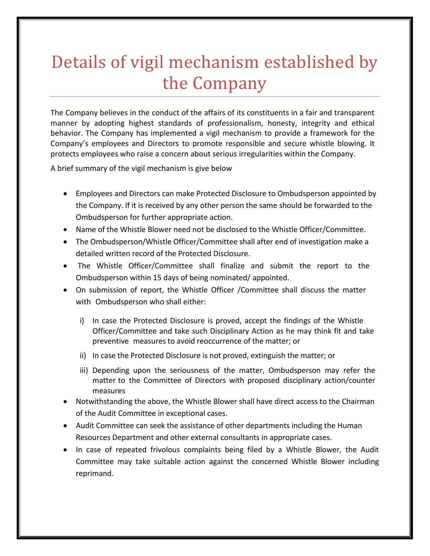## Details of vigil mechanism established by the Company

The Company believes in the conduct of the affairs of its constituents in a fair and transparent manner by adopting highest standards of professionalism, honesty, integrity and ethical behavior. The Company has implemented a vigil mechanism to provide a framework for the Company's employees and Directors to promote responsible and secure whistle blowing. It protects employees who raise a concern about serious irregularities within the Company.

A brief summary of the vigil mechanism is give below

- Employees and Directors can make Protected Disclosure to Ombudsperson appointed by the Company. If it is received by any other person the same should be forwarded to the Ombudsperson for further appropriate action.
- Name of the Whistle Blower need not be disclosed to the Whistle Officer/Committee.
- The Ombudsperson/Whistle Officer/Committee shall after end of investigation make a detailed written record of the Protected Disclosure.
- The Whistle Officer/Committee shall finalize and submit the report to the Ombudsperson within 15 days of being nominated/ appointed.
- On submission of report, the Whistle Officer /Committee shall discuss the matter with Ombudsperson who shall either:
	- i) In case the Protected Disclosure is proved, accept the findings of the Whistle Officer/Committee and take such Disciplinary Action as he may think fit and take preventive measures to avoid reoccurrence of the matter; or
	- ii) In case the Protected Disclosure is not proved, extinguish the matter; or
	- iii) Depending upon the seriousness of the matter, Ombudsperson may refer the matter to the Committee of Directors with proposed disciplinary action/counter measures
- Notwithstanding the above, the Whistle Blower shall have direct access to the Chairman of the Audit Committee in exceptional cases.
- Audit Committee can seek the assistance of other departments including the Human Resources Department and other external consultants in appropriate cases.
- In case of repeated frivolous complaints being filed by a Whistle Blower, the Audit Committee may take suitable action against the concerned Whistle Blower including reprimand.